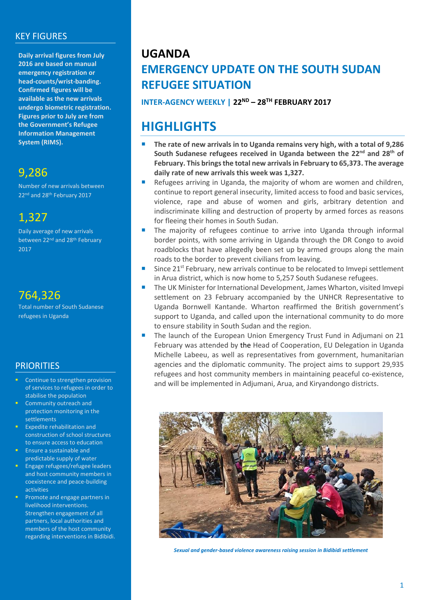### KEY FIGURES

**Daily arrival figures from July 2016 are based on manual emergency registration or head-counts/wrist-banding. Confirmed figures will be available as the new arrivals undergo biometric registration. Figures prior to July are from the Government's Refugee Information Management System (RIMS).**

## 9,286

Number of new arrivals between 22<sup>nd</sup> and 28<sup>th</sup> February 2017

### 1,327

Daily average of new arrivals between 22nd and 28th February 2017

## 764,326

Total number of South Sudanese refugees in Uganda

### **PRIORITIES**

- Continue to strengthen provision of services to refugees in order to stabilise the population
- Community outreach and protection monitoring in the settlements
- Expedite rehabilitation and construction of school structures to ensure access to education
- **Ensure a sustainable and** predictable supply of water
- Engage refugees/refugee leaders and host community members in coexistence and peace-building activities
- **Promote and engage partners in** livelihood interventions. Strengthen engagement of all partners, local authorities and members of the host community regarding interventions in Bidibidi.

## **UGANDA EMERGENCY UPDATE ON THE SOUTH SUDAN REFUGEE SITUATION**

**INTER-AGENCY WEEKLY | 22ND – 28TH FEBRUARY 2017**

# **HIGHLIGHTS**

- **The rate of new arrivals in to Uganda remains very high, with a total of 9,286 South Sudanese refugees received in Uganda between the 22nd and 28th of February. This brings the total new arrivals in February to 65,373. The average daily rate of new arrivals this week was 1,327.**
- Refugees arriving in Uganda, the majority of whom are women and children, continue to report general insecurity, limited access to food and basic services, violence, rape and abuse of women and girls, arbitrary detention and indiscriminate killing and destruction of property by armed forces as reasons for fleeing their homes in South Sudan.
- The majority of refugees continue to arrive into Uganda through informal border points, with some arriving in Uganda through the DR Congo to avoid roadblocks that have allegedly been set up by armed groups along the main roads to the border to prevent civilians from leaving.
- Since 21<sup>st</sup> February, new arrivals continue to be relocated to Imvepi settlement in Arua district, which is now home to 5,257 South Sudanese refugees.
- The UK Minister for International Development, James Wharton, visited Imvepi settlement on 23 February accompanied by the UNHCR Representative to Uganda Bornwell Kantande. Wharton reaffirmed the British government's support to Uganda, and called upon the international community to do more to ensure stability in South Sudan and the region.
- The launch of the European Union Emergency Trust Fund in Adjumani on 21 February was attended by the Head of Cooperation, EU Delegation in Uganda Michelle Labeeu, as well as representatives from government, humanitarian agencies and the diplomatic community. The project aims to support 29,935 refugees and host community members in maintaining peaceful co-existence, and will be implemented in Adjumani, Arua, and Kiryandongo districts.



*Sexual and gender-based violence awareness raising session in Bidibidi settlement*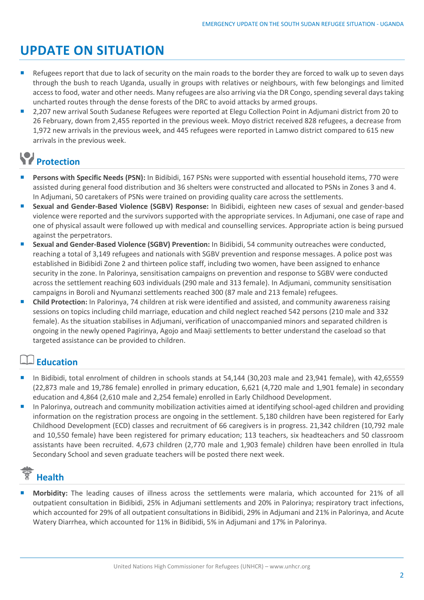# **UPDATE ON SITUATION**

- Refugees report that due to lack of security on the main roads to the border they are forced to walk up to seven days through the bush to reach Uganda, usually in groups with relatives or neighbours, with few belongings and limited access to food, water and other needs. Many refugees are also arriving via the DR Congo, spending several days taking uncharted routes through the dense forests of the DRC to avoid attacks by armed groups.
- 2,207 new arrival South Sudanese Refugees were reported at Elegu Collection Point in Adjumani district from 20 to 26 February, down from 2,455 reported in the previous week. Moyo district received 828 refugees, a decrease from 1,972 new arrivals in the previous week, and 445 refugees were reported in Lamwo district compared to 615 new arrivals in the previous week.

# **Protection**

- **Persons with Specific Needs (PSN):** In Bidibidi, 167 PSNs were supported with essential household items, 770 were assisted during general food distribution and 36 shelters were constructed and allocated to PSNs in Zones 3 and 4. In Adjumani, 50 caretakers of PSNs were trained on providing quality care across the settlements.
- **Sexual and Gender-Based Violence (SGBV) Response:** In Bidibidi, eighteen new cases of sexual and gender-based violence were reported and the survivors supported with the appropriate services. In Adjumani, one case of rape and one of physical assault were followed up with medical and counselling services. Appropriate action is being pursued against the perpetrators.
- **Sexual and Gender-Based Violence (SGBV) Prevention:** In Bidibidi, 54 community outreaches were conducted, reaching a total of 3,149 refugees and nationals with SGBV prevention and response messages. A police post was established in Bidibidi Zone 2 and thirteen police staff, including two women, have been assigned to enhance security in the zone. In Palorinya, sensitisation campaigns on prevention and response to SGBV were conducted across the settlement reaching 603 individuals (290 male and 313 female). In Adjumani, community sensitisation campaigns in Boroli and Nyumanzi settlements reached 300 (87 male and 213 female) refugees.
- **Child Protection:** In Palorinya, 74 children at risk were identified and assisted, and community awareness raising sessions on topics including child marriage, education and child neglect reached 542 persons (210 male and 332 female). As the situation stabilises in Adjumani, verification of unaccompanied minors and separated children is ongoing in the newly opened Pagirinya, Agojo and Maaji settlements to better understand the caseload so that targeted assistance can be provided to children.

### **Education**

- In Bidibidi, total enrolment of children in schools stands at 54,144 (30,203 male and 23,941 female), with 42,65559 (22,873 male and 19,786 female) enrolled in primary education, 6,621 (4,720 male and 1,901 female) in secondary education and 4,864 (2,610 male and 2,254 female) enrolled in Early Childhood Development.
- In Palorinya, outreach and community mobilization activities aimed at identifying school-aged children and providing information on the registration process are ongoing in the settlement. 5,180 children have been registered for Early Childhood Development (ECD) classes and recruitment of 66 caregivers is in progress. 21,342 children (10,792 male and 10,550 female) have been registered for primary education; 113 teachers, six headteachers and 50 classroom assistants have been recruited. 4,673 children (2,770 male and 1,903 female) children have been enrolled in Itula Secondary School and seven graduate teachers will be posted there next week.

# **Health**

 **Morbidity:** The leading causes of illness across the settlements were malaria, which accounted for 21% of all outpatient consultation in Bidibidi, 25% in Adjumani settlements and 20% in Palorinya; respiratory tract infections, which accounted for 29% of all outpatient consultations in Bidibidi, 29% in Adjumani and 21% in Palorinya, and Acute Watery Diarrhea, which accounted for 11% in Bidibidi, 5% in Adjumani and 17% in Palorinya.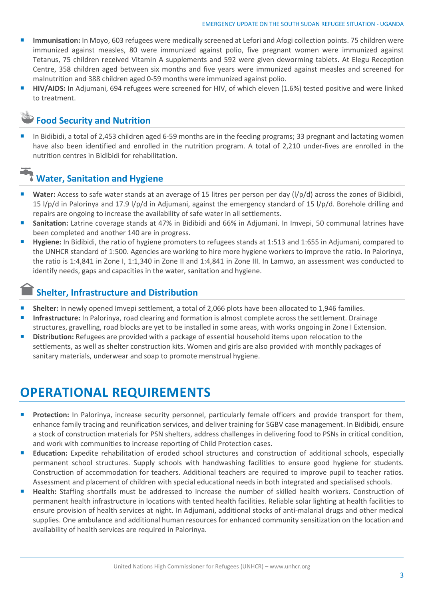- **Immunisation:** In Moyo, 603 refugees were medically screened at Lefori and Afogi collection points. 75 children were immunized against measles, 80 were immunized against polio, five pregnant women were immunized against Tetanus, 75 children received Vitamin A supplements and 592 were given deworming tablets. At Elegu Reception Centre, 358 children aged between six months and five years were immunized against measles and screened for malnutrition and 388 children aged 0-59 months were immunized against polio.
- **HIV/AIDS:** In Adjumani, 694 refugees were screened for HIV, of which eleven (1.6%) tested positive and were linked to treatment.

### **Food Security and Nutrition**

 In Bidibidi, a total of 2,453 children aged 6-59 months are in the feeding programs; 33 pregnant and lactating women have also been identified and enrolled in the nutrition program. A total of 2,210 under-fives are enrolled in the nutrition centres in Bidibidi for rehabilitation.

### **Water, Sanitation and Hygiene**

- **Water:** Access to safe water stands at an average of 15 litres per person per day (l/p/d) across the zones of Bidibidi, 15 l/p/d in Palorinya and 17.9 l/p/d in Adjumani, against the emergency standard of 15 l/p/d. Borehole drilling and repairs are ongoing to increase the availability of safe water in all settlements.
- **Sanitation:** Latrine coverage stands at 47% in Bidibidi and 66% in Adjumani. In Imvepi, 50 communal latrines have been completed and another 140 are in progress.
- **Hygiene:** In Bidibidi, the ratio of hygiene promoters to refugees stands at 1:513 and 1:655 in Adjumani, compared to the UNHCR standard of 1:500. Agencies are working to hire more hygiene workers to improve the ratio. In Palorinya, the ratio is 1:4,841 in Zone I, 1:1,340 in Zone II and 1:4,841 in Zone III. In Lamwo, an assessment was conducted to identify needs, gaps and capacities in the water, sanitation and hygiene.

### **Shelter, Infrastructure and Distribution**

- **Shelter:** In newly opened Imvepi settlement, a total of 2,066 plots have been allocated to 1,946 families.
- **Infrastructure:** In Palorinya, road clearing and formation is almost complete across the settlement. Drainage structures, gravelling, road blocks are yet to be installed in some areas, with works ongoing in Zone I Extension.
- **Distribution:** Refugees are provided with a package of essential household items upon relocation to the settlements, as well as shelter construction kits. Women and girls are also provided with monthly packages of sanitary materials, underwear and soap to promote menstrual hygiene.

# **OPERATIONAL REQUIREMENTS**

- **Protection:** In Palorinya, increase security personnel, particularly female officers and provide transport for them, enhance family tracing and reunification services, and deliver training for SGBV case management. In Bidibidi, ensure a stock of construction materials for PSN shelters, address challenges in delivering food to PSNs in critical condition, and work with communities to increase reporting of Child Protection cases.
- **Education:** Expedite rehabilitation of eroded school structures and construction of additional schools, especially permanent school structures. Supply schools with handwashing facilities to ensure good hygiene for students. Construction of accommodation for teachers. Additional teachers are required to improve pupil to teacher ratios. Assessment and placement of children with special educational needs in both integrated and specialised schools.
- **Health:** Staffing shortfalls must be addressed to increase the number of skilled health workers. Construction of permanent health infrastructure in locations with tented health facilities. Reliable solar lighting at health facilities to ensure provision of health services at night. In Adjumani, additional stocks of anti-malarial drugs and other medical supplies. One ambulance and additional human resources for enhanced community sensitization on the location and availability of health services are required in Palorinya.